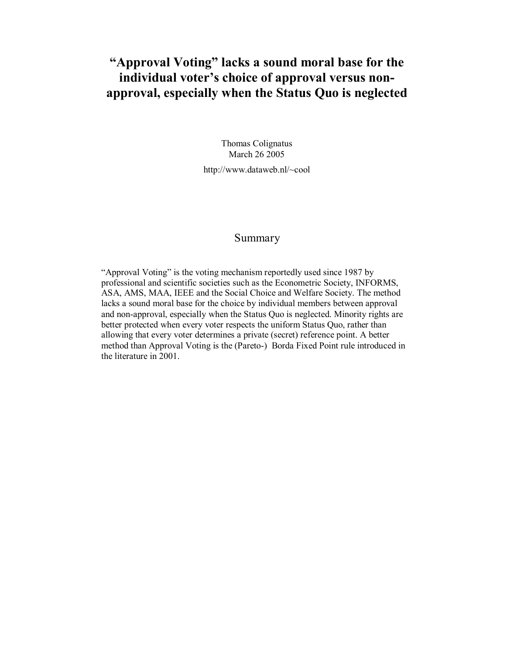# **"Approval Voting" lacks a sound moral base for the individual voter's choice of approval versus nonapproval, especially when the Status Quo is neglected**

Thomas Colignatus March 26 2005

http://www.dataweb.nl/~cool

# Summary

"Approval Voting" is the voting mechanism reportedly used since 1987 by professional and scientific societies such as the Econometric Society, INFORMS, ASA, AMS, MAA, IEEE and the Social Choice and Welfare Society. The method lacks a sound moral base for the choice by individual members between approval and non-approval, especially when the Status Quo is neglected. Minority rights are better protected when every voter respects the uniform Status Quo, rather than allowing that every voter determines a private (secret) reference point. A better method than Approval Voting is the (Pareto-) Borda Fixed Point rule introduced in the literature in 2001.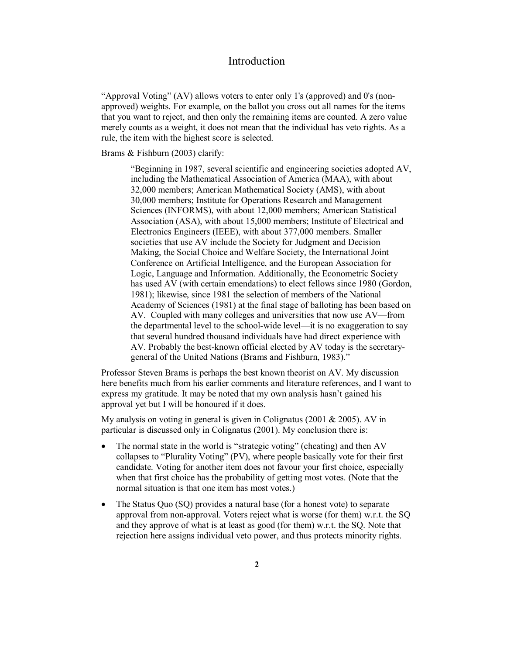# **Introduction**

"Approval Voting" (AV) allows voters to enter only 1's (approved) and 0's (nonapproved) weights. For example, on the ballot you cross out all names for the items that you want to reject, and then only the remaining items are counted. A zero value merely counts as a weight, it does not mean that the individual has veto rights. As a rule, the item with the highest score is selected.

Brams & Fishburn (2003) clarify:

"Beginning in 1987, several scientific and engineering societies adopted AV, including the Mathematical Association of America (MAA), with about 32,000 members; American Mathematical Society (AMS), with about 30,000 members; Institute for Operations Research and Management Sciences (INFORMS), with about 12,000 members; American Statistical Association (ASA), with about 15,000 members; Institute of Electrical and Electronics Engineers (IEEE), with about 377,000 members. Smaller societies that use AV include the Society for Judgment and Decision Making, the Social Choice and Welfare Society, the International Joint Conference on Artificial Intelligence, and the European Association for Logic, Language and Information. Additionally, the Econometric Society has used AV (with certain emendations) to elect fellows since 1980 (Gordon, 1981); likewise, since 1981 the selection of members of the National Academy of Sciences (1981) at the final stage of balloting has been based on AV. Coupled with many colleges and universities that now use AV—from the departmental level to the school-wide level—it is no exaggeration to say that several hundred thousand individuals have had direct experience with AV. Probably the best-known official elected by AV today is the secretarygeneral of the United Nations (Brams and Fishburn, 1983)."

Professor Steven Brams is perhaps the best known theorist on AV. My discussion here benefits much from his earlier comments and literature references, and I want to express my gratitude. It may be noted that my own analysis hasn't gained his approval yet but I will be honoured if it does.

My analysis on voting in general is given in Colignatus (2001 & 2005). AV in particular is discussed only in Colignatus (2001). My conclusion there is:

- The normal state in the world is "strategic voting" (cheating) and then AV collapses to "Plurality Voting" (PV), where people basically vote for their first candidate. Voting for another item does not favour your first choice, especially when that first choice has the probability of getting most votes. (Note that the normal situation is that one item has most votes.)
- The Status Quo (SQ) provides a natural base (for a honest vote) to separate approval from non-approval. Voters reject what is worse (for them) w.r.t. the SQ and they approve of what is at least as good (for them) w.r.t. the SQ. Note that rejection here assigns individual veto power, and thus protects minority rights.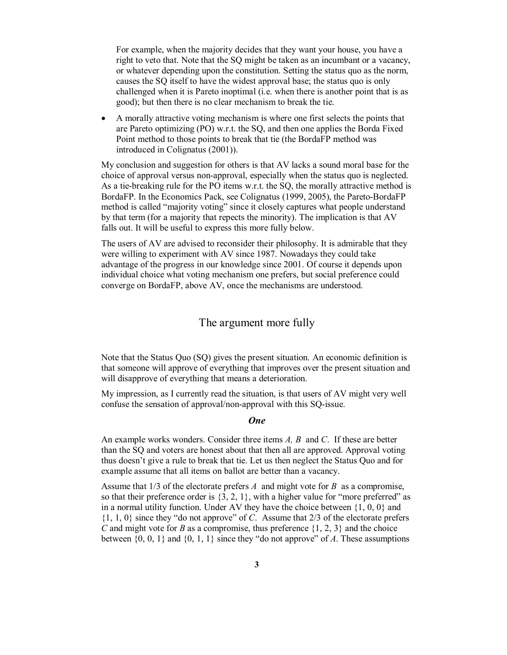For example, when the majority decides that they want your house, you have a right to veto that. Note that the SQ might be taken as an incumbant or a vacancy, or whatever depending upon the constitution. Setting the status quo as the norm, causes the SQ itself to have the widest approval base; the status quo is only challenged when it is Pareto inoptimal  $(i.e.,$  when there is another point that is as good); but then there is no clear mechanism to break the tie.

 A morally attractive voting mechanism is where one first selects the points that are Pareto optimizing (PO) w.r.t. the SQ, and then one applies the Borda Fixed Point method to those points to break that tie (the BordaFP method was introduced in Colignatus (2001)).

My conclusion and suggestion for others is that AV lacks a sound moral base for the choice of approval versus non-approval, especially when the status quo is neglected. As a tie-breaking rule for the PO items w.r.t. the SQ, the morally attractive method is BordaFP. In the Economics Pack, see Colignatus (1999, 2005), the Pareto-BordaFP method is called "majority voting" since it closely captures what people understand by that term (for a majority that repects the minority). The implication is that AV falls out. It will be useful to express this more fully below.

The users of AV are advised to reconsider their philosophy. It is admirable that they were willing to experiment with AV since 1987. Nowadays they could take advantage of the progress in our knowledge since 2001. Of course it depends upon individual choice what voting mechanism one prefers, but social preference could converge on BordaFP, above AV, once the mechanisms are understood.

### The argument more fully

Note that the Status Quo (SQ) gives the present situation. An economic definition is that someone will approve of everything that improves over the present situation and will disapprove of everything that means a deterioration.

My impression, as I currently read the situation, is that users of AV might very well confuse the sensation of approval/non-approval with this SQ-issue.

#### *One*

An example works wonders. Consider three items *A, B* and *C*. If these are better than the SQ and voters are honest about that then all are approved. Approval voting thus doesn't give a rule to break that tie. Let us then neglect the Status Quo and for example assume that all items on ballot are better than a vacancy.

Assume that 1/3 of the electorate prefers *A* and might vote for *B* as a compromise, so that their preference order is  $\{3, 2, 1\}$ , with a higher value for "more preferred" as in a normal utility function. Under AV they have the choice between  $\{1, 0, 0\}$  and {1, 1, 0} since they "do not approve" of *C*. Assume that 2/3 of the electorate prefers *C* and might vote for *B* as a compromise, thus preference {1, 2, 3} and the choice between  $\{0, 0, 1\}$  and  $\{0, 1, 1\}$  since they "do not approve" of *A*. These assumptions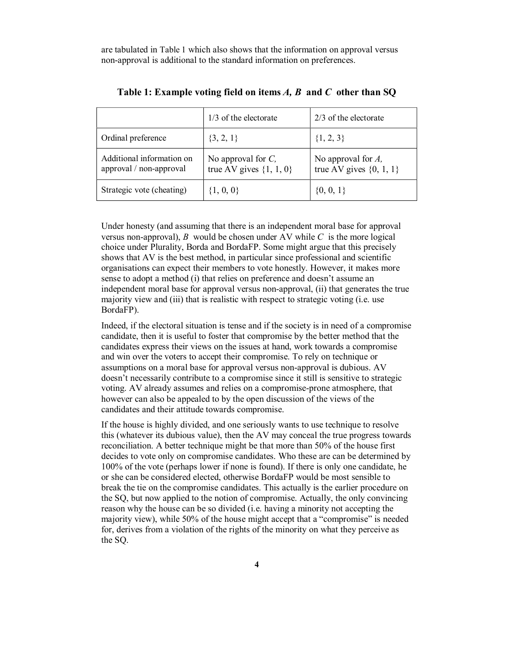are tabulated in Table 1 which also shows that the information on approval versus non-approval is additional to the standard information on preferences.

|                                                      | $1/3$ of the electorate<br>$2/3$ of the electorate   |                                                      |  |
|------------------------------------------------------|------------------------------------------------------|------------------------------------------------------|--|
| Ordinal preference                                   | $\{3, 2, 1\}$                                        | $\{1, 2, 3\}$                                        |  |
| Additional information on<br>approval / non-approval | No approval for $C$ ,<br>true AV gives $\{1, 1, 0\}$ | No approval for $A$ ,<br>true AV gives $\{0, 1, 1\}$ |  |
| Strategic vote (cheating)                            | $\{1,\,0,\,0\}$                                      | $\{0, 0, 1\}$                                        |  |

| Table 1: Example voting field on items $A$ , $B$ and $C$ other than SQ |  |  |  |
|------------------------------------------------------------------------|--|--|--|
|                                                                        |  |  |  |

Under honesty (and assuming that there is an independent moral base for approval versus non-approval), *B* would be chosen under AV while *C* is the more logical choice under Plurality, Borda and BordaFP. Some might argue that this precisely shows that AV is the best method, in particular since professional and scientific organisations can expect their members to vote honestly. However, it makes more sense to adopt a method (i) that relies on preference and doesn't assume an independent moral base for approval versus non-approval, (ii) that generates the true majority view and (iii) that is realistic with respect to strategic voting (i.e. use BordaFP).

Indeed, if the electoral situation is tense and if the society is in need of a compromise candidate, then it is useful to foster that compromise by the better method that the candidates express their views on the issues at hand, work towards a compromise and win over the voters to accept their compromise. To rely on technique or assumptions on a moral base for approval versus non-approval is dubious. AV doesn't necessarily contribute to a compromise since it still is sensitive to strategic voting. AV already assumes and relies on a compromise-prone atmosphere, that however can also be appealed to by the open discussion of the views of the candidates and their attitude towards compromise.

If the house is highly divided, and one seriously wants to use technique to resolve this (whatever its dubious value), then the AV may conceal the true progress towards reconciliation. A better technique might be that more than 50% of the house first decides to vote only on compromise candidates. Who these are can be determined by 100% of the vote (perhaps lower if none is found). If there is only one candidate, he or she can be considered elected, otherwise BordaFP would be most sensible to break the tie on the compromise candidates. This actually is the earlier procedure on the SQ, but now applied to the notion of compromise. Actually, the only convincing reason why the house can be so divided (i.e. having a minority not accepting the majority view), while 50% of the house might accept that a "compromise" is needed for, derives from a violation of the rights of the minority on what they perceive as the SQ.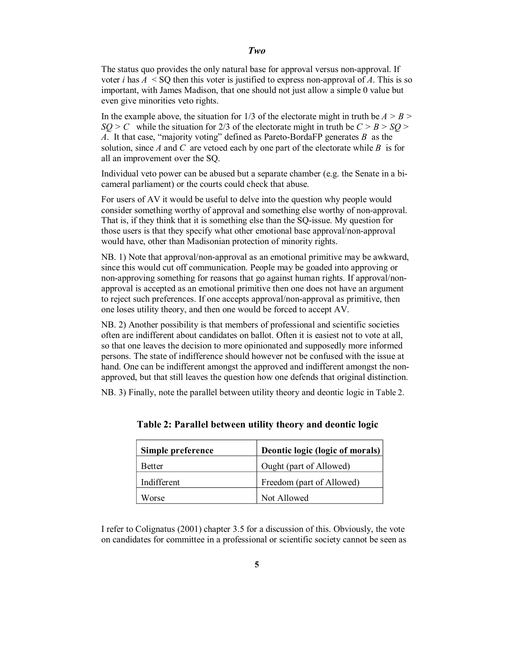#### *Two*

The status quo provides the only natural base for approval versus non-approval. If voter *i* has  $A \leq SO$  then this voter is justified to express non-approval of  $A$ . This is so important, with James Madison, that one should not just allow a simple 0 value but even give minorities veto rights.

In the example above, the situation for 1/3 of the electorate might in truth be *A > B >*  $SO > C$  while the situation for 2/3 of the electorate might in truth be  $C > B > SO >$ *A*. It that case, "majority voting" defined as Pareto-BordaFP generates *B* as the solution, since *A* and *C* are vetoed each by one part of the electorate while *B* is for all an improvement over the SQ.

Individual veto power can be abused but a separate chamber (e.g. the Senate in a bicameral parliament) or the courts could check that abuse.

For users of AV it would be useful to delve into the question why people would consider something worthy of approval and something else worthy of non-approval. That is, if they think that it is something else than the SQ-issue. My question for those users is that they specify what other emotional base approval/non-approval would have, other than Madisonian protection of minority rights.

NB. 1) Note that approval/non-approval as an emotional primitive may be awkward, since this would cut off communication. People may be goaded into approving or non-approving something for reasons that go against human rights. If approval/nonapproval is accepted as an emotional primitive then one does not have an argument to reject such preferences. If one accepts approval/non-approval as primitive, then one loses utility theory, and then one would be forced to accept AV.

NB. 2) Another possibility is that members of professional and scientific societies often are indifferent about candidates on ballot. Often it is easiest not to vote at all, so that one leaves the decision to more opinionated and supposedly more informed persons. The state of indifference should however not be confused with the issue at hand. One can be indifferent amongst the approved and indifferent amongst the nonapproved, but that still leaves the question how one defends that original distinction.

NB. 3) Finally, note the parallel between utility theory and deontic logic in Table 2.

| Simple preference | Deontic logic (logic of morals) |
|-------------------|---------------------------------|
| Better            | Ought (part of Allowed)         |
| Indifferent       | Freedom (part of Allowed)       |
| Worse             | Not Allowed                     |

**Table 2: Parallel between utility theory and deontic logic**

I refer to Colignatus (2001) chapter 3.5 for a discussion of this. Obviously, the vote on candidates for committee in a professional or scientific society cannot be seen as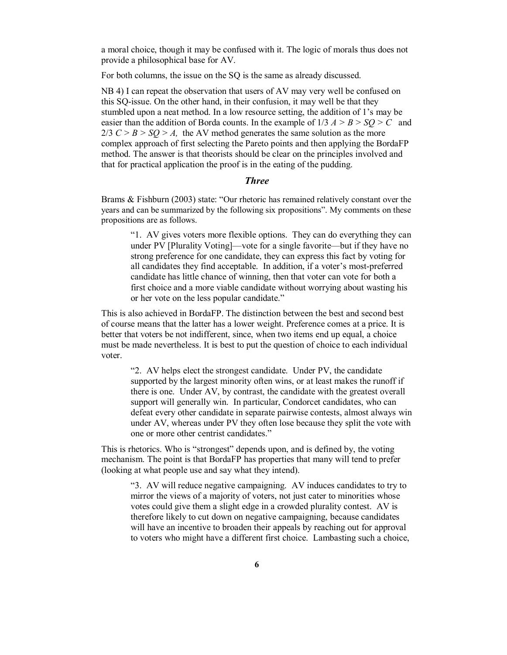a moral choice, though it may be confused with it. The logic of morals thus does not provide a philosophical base for AV.

For both columns, the issue on the SO is the same as already discussed.

NB 4) I can repeat the observation that users of AV may very well be confused on this SQ-issue. On the other hand, in their confusion, it may well be that they stumbled upon a neat method. In a low resource setting, the addition of 1's may be easier than the addition of Borda counts. In the example of  $1/3$   $A > B > SO > C$  and  $2/3$  *C > B > SO > A*, the AV method generates the same solution as the more complex approach of first selecting the Pareto points and then applying the BordaFP method. The answer is that theorists should be clear on the principles involved and that for practical application the proof is in the eating of the pudding.

#### *Three*

Brams & Fishburn (2003) state: "Our rhetoric has remained relatively constant over the years and can be summarized by the following six propositions". My comments on these propositions are as follows.

"1. AV gives voters more flexible options. They can do everything they can under PV [Plurality Voting]—vote for a single favorite—but if they have no strong preference for one candidate, they can express this fact by voting for all candidates they find acceptable. In addition, if a voter's most-preferred candidate has little chance of winning, then that voter can vote for both a first choice and a more viable candidate without worrying about wasting his or her vote on the less popular candidate."

This is also achieved in BordaFP. The distinction between the best and second best of course means that the latter has a lower weight. Preference comes at a price. It is better that voters be not indifferent, since, when two items end up equal, a choice must be made nevertheless. It is best to put the question of choice to each individual voter.

"2. AV helps elect the strongest candidate. Under PV, the candidate supported by the largest minority often wins, or at least makes the runoff if there is one. Under AV, by contrast, the candidate with the greatest overall support will generally win. In particular, Condorcet candidates, who can defeat every other candidate in separate pairwise contests, almost always win under AV, whereas under PV they often lose because they split the vote with one or more other centrist candidates."

This is rhetorics. Who is "strongest" depends upon, and is defined by, the voting mechanism. The point is that BordaFP has properties that many will tend to prefer (looking at what people use and say what they intend).

"3. AV will reduce negative campaigning. AV induces candidates to try to mirror the views of a majority of voters, not just cater to minorities whose votes could give them a slight edge in a crowded plurality contest. AV is therefore likely to cut down on negative campaigning, because candidates will have an incentive to broaden their appeals by reaching out for approval to voters who might have a different first choice. Lambasting such a choice,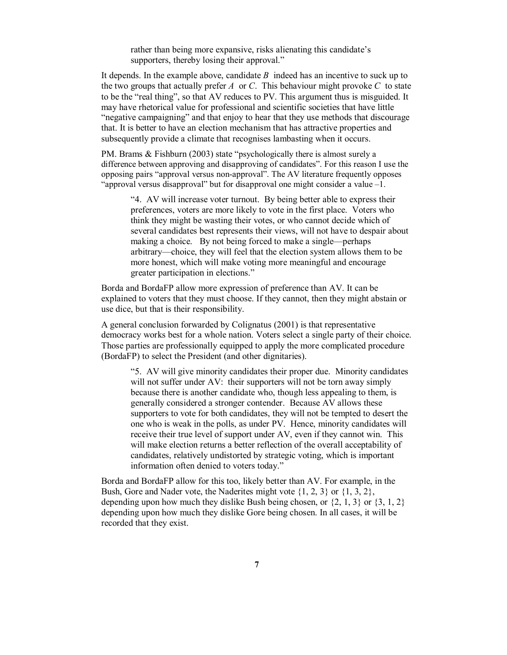rather than being more expansive, risks alienating this candidate's supporters, thereby losing their approval."

It depends. In the example above, candidate *B* indeed has an incentive to suck up to the two groups that actually prefer  $A$  or  $C$ . This behaviour might provoke  $C$  to state to be the "real thing", so that AV reduces to PV. This argument thus is misguided. It may have rhetorical value for professional and scientific societies that have little "negative campaigning" and that enjoy to hear that they use methods that discourage that. It is better to have an election mechanism that has attractive properties and subsequently provide a climate that recognises lambasting when it occurs.

PM. Brams & Fishburn (2003) state "psychologically there is almost surely a difference between approving and disapproving of candidates". For this reason I use the opposing pairs "approval versus non-approval". The AV literature frequently opposes "approval versus disapproval" but for disapproval one might consider a value –1.

"4. AV will increase voter turnout. By being better able to express their preferences, voters are more likely to vote in the first place. Voters who think they might be wasting their votes, or who cannot decide which of several candidates best represents their views, will not have to despair about making a choice. By not being forced to make a single—perhaps arbitrary—choice, they will feel that the election system allows them to be more honest, which will make voting more meaningful and encourage greater participation in elections."

Borda and BordaFP allow more expression of preference than AV. It can be explained to voters that they must choose. If they cannot, then they might abstain or use dice, but that is their responsibility.

A general conclusion forwarded by Colignatus (2001) is that representative democracy works best for a whole nation. Voters select a single party of their choice. Those parties are professionally equipped to apply the more complicated procedure (BordaFP) to select the President (and other dignitaries).

"5. AV will give minority candidates their proper due. Minority candidates will not suffer under AV: their supporters will not be torn away simply because there is another candidate who, though less appealing to them, is generally considered a stronger contender. Because AV allows these supporters to vote for both candidates, they will not be tempted to desert the one who is weak in the polls, as under PV. Hence, minority candidates will receive their true level of support under AV, even if they cannot win. This will make election returns a better reflection of the overall acceptability of candidates, relatively undistorted by strategic voting, which is important information often denied to voters today."

Borda and BordaFP allow for this too, likely better than AV. For example, in the Bush, Gore and Nader vote, the Naderites might vote {1, 2, 3} or {1, 3, 2}, depending upon how much they dislike Bush being chosen, or  $\{2, 1, 3\}$  or  $\{3, 1, 2\}$ depending upon how much they dislike Gore being chosen. In all cases, it will be recorded that they exist.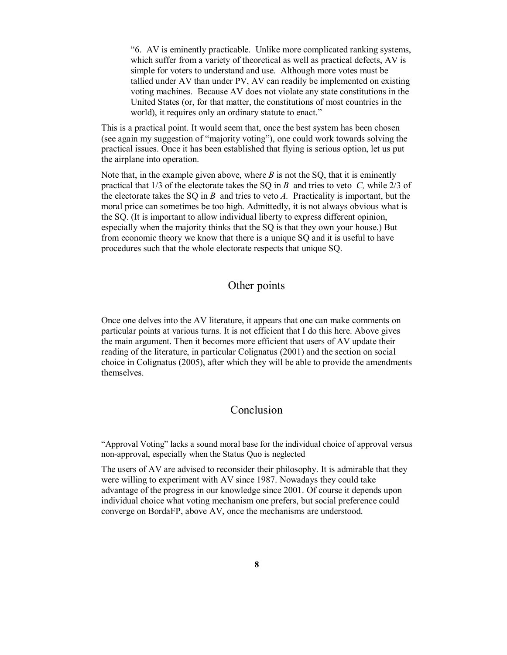"6. AV is eminently practicable. Unlike more complicated ranking systems, which suffer from a variety of theoretical as well as practical defects. AV is simple for voters to understand and use. Although more votes must be tallied under AV than under PV, AV can readily be implemented on existing voting machines. Because AV does not violate any state constitutions in the United States (or, for that matter, the constitutions of most countries in the world), it requires only an ordinary statute to enact."

This is a practical point. It would seem that, once the best system has been chosen (see again my suggestion of "majority voting"), one could work towards solving the practical issues. Once it has been established that flying is serious option, let us put the airplane into operation.

Note that, in the example given above, where  $B$  is not the SQ, that it is eminently practical that 1/3 of the electorate takes the SQ in *B* and tries to veto *C,* while 2/3 of the electorate takes the SQ in *B* and tries to veto *A.* Practicality is important, but the moral price can sometimes be too high. Admittedly, it is not always obvious what is the SQ. (It is important to allow individual liberty to express different opinion, especially when the majority thinks that the SQ is that they own your house.) But from economic theory we know that there is a unique SQ and it is useful to have procedures such that the whole electorate respects that unique SQ.

# Other points

Once one delves into the AV literature, it appears that one can make comments on particular points at various turns. It is not efficient that I do this here. Above gives the main argument. Then it becomes more efficient that users of AV update their reading of the literature, in particular Colignatus (2001) and the section on social choice in Colignatus (2005), after which they will be able to provide the amendments themselves.

### Conclusion

"Approval Voting" lacks a sound moral base for the individual choice of approval versus non-approval, especially when the Status Quo is neglected

The users of AV are advised to reconsider their philosophy. It is admirable that they were willing to experiment with AV since 1987. Nowadays they could take advantage of the progress in our knowledge since 2001. Of course it depends upon individual choice what voting mechanism one prefers, but social preference could converge on BordaFP, above AV, once the mechanisms are understood.